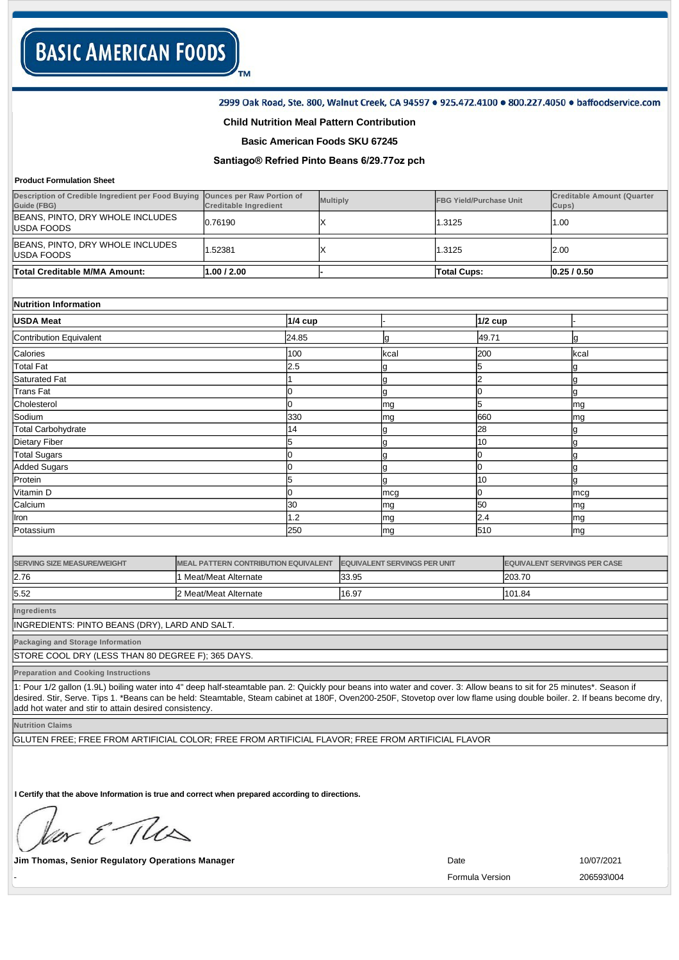### 2999 Oak Road, Ste. 800, Walnut Creek, CA 94597 . 925.472.4100 . 800.227.4050 . baffoodservice.com

## **Child Nutrition Meal Pattern Contribution**

TM

## **Basic American Foods SKU 67245**

# **Santiago® Refried Pinto Beans 6/29.77oz pch**

#### **Product Formulation Sheet**

| <b>Product Formulation Sheet</b>                                  |                                                                  |                                             |                 |                                     |                                |                |                                     |                                            |  |
|-------------------------------------------------------------------|------------------------------------------------------------------|---------------------------------------------|-----------------|-------------------------------------|--------------------------------|----------------|-------------------------------------|--------------------------------------------|--|
| Description of Credible Ingredient per Food Buying<br>Guide (FBG) | <b>Ounces per Raw Portion of</b><br><b>Creditable Ingredient</b> |                                             | <b>Multiply</b> |                                     | <b>FBG Yield/Purchase Unit</b> |                |                                     | <b>Creditable Amount (Quarter</b><br>Cups) |  |
| BEANS, PINTO, DRY WHOLE INCLUDES<br><b>USDA FOODS</b>             | 0.76190                                                          | х                                           |                 |                                     | 1.3125                         |                |                                     | 1.00                                       |  |
| BEANS, PINTO, DRY WHOLE INCLUDES<br>USDA FOODS                    | 1.52381                                                          | Х                                           |                 |                                     | 1.3125                         |                |                                     | 2.00                                       |  |
| <b>Total Creditable M/MA Amount:</b>                              | 1.00 / 2.00                                                      |                                             |                 | <b>Total Cups:</b>                  |                                |                |                                     | 0.25/0.50                                  |  |
|                                                                   |                                                                  |                                             |                 |                                     |                                |                |                                     |                                            |  |
| Nutrition Information                                             |                                                                  |                                             |                 |                                     |                                |                |                                     |                                            |  |
| <b>USDA Meat</b>                                                  |                                                                  |                                             | <b>1/4 cup</b>  |                                     | <b>1/2 cup</b>                 |                |                                     |                                            |  |
| Contribution Equivalent                                           |                                                                  | 24.85                                       |                 | g                                   |                                | 49.71          |                                     | g                                          |  |
| Calories                                                          |                                                                  | 100                                         |                 | kcal                                |                                | 200            |                                     | kcal                                       |  |
| <b>Total Fat</b>                                                  |                                                                  | 2.5                                         |                 | g                                   |                                | 5              |                                     | g                                          |  |
| <b>Saturated Fat</b>                                              |                                                                  |                                             |                 | g                                   |                                | $\overline{2}$ |                                     | g                                          |  |
| <b>Trans Fat</b>                                                  |                                                                  | $\Omega$                                    |                 | g                                   |                                | 0              |                                     | g                                          |  |
| Cholesterol                                                       |                                                                  | 0                                           |                 | mg                                  |                                | 5              |                                     | mg                                         |  |
| Sodium                                                            |                                                                  | 330                                         |                 | mg                                  |                                | 660            |                                     | mg                                         |  |
| <b>Total Carbohydrate</b>                                         |                                                                  | 14                                          |                 | g                                   |                                | 28             |                                     | g                                          |  |
| <b>Dietary Fiber</b>                                              |                                                                  | 5                                           |                 | g                                   |                                | 10             |                                     | g                                          |  |
| <b>Total Sugars</b>                                               |                                                                  | 0                                           |                 | 0<br>g                              |                                |                |                                     | g                                          |  |
| <b>Added Sugars</b>                                               |                                                                  | 0                                           |                 | 0<br>g                              |                                |                |                                     | g                                          |  |
| Protein                                                           |                                                                  | 5                                           |                 | g                                   |                                | 10             |                                     | g                                          |  |
| Vitamin D                                                         |                                                                  | 0                                           |                 | mcg                                 |                                | 0              |                                     | mcg                                        |  |
| Calcium                                                           |                                                                  | 30                                          |                 | mg                                  |                                | 50             |                                     | mg                                         |  |
| Iron                                                              |                                                                  | 1.2                                         |                 | mg                                  |                                | 2.4            |                                     | mg                                         |  |
| Potassium                                                         |                                                                  | 250                                         |                 | mg                                  |                                | 510            |                                     | mg                                         |  |
|                                                                   |                                                                  |                                             |                 |                                     |                                |                |                                     |                                            |  |
| <b>SERVING SIZE MEASURE/WEIGHT</b>                                |                                                                  | <b>MEAL PATTERN CONTRIBUTION EQUIVALENT</b> |                 | <b>EQUIVALENT SERVINGS PER UNIT</b> |                                |                | <b>EQUIVALENT SERVINGS PER CASE</b> |                                            |  |
| 2.76                                                              | 1 Meat/Meat Alternate                                            |                                             |                 | 33.95                               |                                |                | 203.70                              |                                            |  |
| 5.52                                                              | 2 Meat/Meat Alternate                                            |                                             | 16.97           |                                     |                                |                | 101.84                              |                                            |  |
|                                                                   |                                                                  |                                             |                 |                                     |                                |                |                                     |                                            |  |

**Ingredients**

INGREDIENTS: PINTO BEANS (DRY), LARD AND SALT.

**Packaging and Storage Information**

STORE COOL DRY (LESS THAN 80 DEGREE F); 365 DAYS.

**Preparation and Cooking Instructions**

1: Pour 1/2 gallon (1.9L) boiling water into 4" deep half-steamtable pan. 2: Quickly pour beans into water and cover. 3: Allow beans to sit for 25 minutes\*. Season if desired. Stir, Serve. Tips 1. \*Beans can be held: Steamtable, Steam cabinet at 180F, Oven200-250F, Stovetop over low flame using double boiler. 2. If beans become dry, add hot water and stir to attain desired consistency.

**Nutrition Claims**

GLUTEN FREE; FREE FROM ARTIFICIAL COLOR; FREE FROM ARTIFICIAL FLAVOR; FREE FROM ARTIFICIAL FLAVOR

**I Certify that the above Information is true and correct when prepared according to directions.** 

or & The

**Jim Thomas, Senior Regulatory Operations Manager 10/07/2021 Date** 10/07/2021

- Formula Version 206593\004